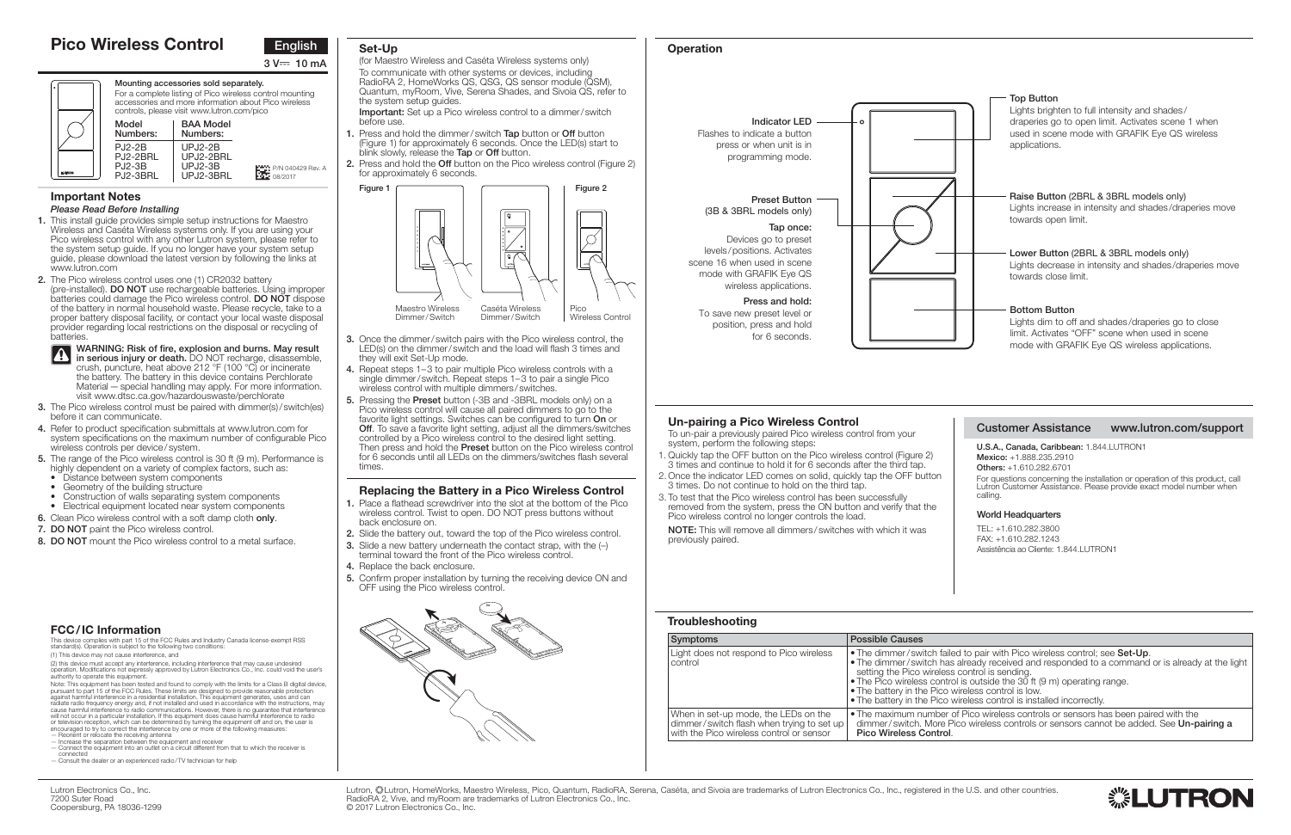# **Troubleshooting**

| Symptoms                                                                                                                      | <b>Possible Causes</b>                                                                                                                                                    |
|-------------------------------------------------------------------------------------------------------------------------------|---------------------------------------------------------------------------------------------------------------------------------------------------------------------------|
| Light does not respond to Pico wireless<br>control                                                                            | • The dimmer/switch faile<br>• The dimmer/switch has<br>setting the Pico wireless<br>• The Pico wireless contre<br>• The battery in the Pico<br>. The battery in the Pico |
| When in set-up mode, the LEDs on the<br>dimmer/switch flash when trying to set up<br>with the Pico wireless control or sensor | . The maximum number<br>dimmer/switch, More F<br>Pico Wireless Control.                                                                                                   |

- **1.** This install guide provides simple setup instructions for Maestro Wireless and Caséta Wireless systems only. If you are using your Pico wireless control with any other Lutron system, please refer to the system setup guide. If you no longer have your system setup guide, please download the latest version by following the links at www.lutron.com
- **2.** The Pico wireless control uses one (1) CR2032 battery (pre-installed). **DO NOT** use rechargeable batteries. Using improper batteries could damage the Pico wireless control. **DO NOT** dispose of the battery in normal household waste. Please recycle, take to a proper battery disposal facility, or contact your local waste disposal provider regarding local restrictions on the disposal or recycling of **batteries**

# **Important Notes** *Please Read Before Installing*

- **3.** The Pico wireless control must be paired with dimmer(s)/switch(es) before it can communicate.
- **4.** Refer to product specification submittals at www.lutron.com for system specifications on the maximum number of configurable Pico wireless controls per device / system.
- **5.** The range of the Pico wireless control is 30 ft (9 m). Performance is highly dependent on a variety of complex factors, such as:
	- Distance between system components
	- Geometry of the building structure
- Construction of walls separating system components
- Electrical equipment located near system components
- **6.** Clean Pico wireless control with a soft damp cloth **only**.
- **7. DO NOT** paint the Pico wireless control.
- **8. DO NOT** mount the Pico wireless control to a metal surface.

 To un-pair a previously paired Pico wireless control from your system, perform the following steps:

- 1. Quickly tap the OFF button on the Pico wireless control (Figure 2) 3 times and continue to hold it for 6 seconds after the third tap.
- 2. Once the indicator LED comes on solid, quickly tap the OFF button 3 times. Do not continue to hold on the third tap.
- 3. To test that the Pico wireless control has been successfully removed from the system, press the ON button and verify that the Pico wireless control no longer controls the load.

**WARNING: Risk of fire, explosion and burns. May result 1** WARNING: RISK OF THE, EXPLOSION and Durits. May result in serious injury or death. DO NOT recharge, disassemble, crush, puncture, heat above 212 °F (100 °C) or incinerate the battery. The battery in this device contains Perchlorate Material — special handling may apply. For more information. visit www.dtsc.ca.gov/hazardouswaste/perchlorate

> Lutron, ‱Lutron, HomeWorks, Maestro Wireless, Pico, Quantum, RadioRA, Serena, Caséta, and Sivoia are trademarks of Lutron Electronics Co., Inc., registered in the U.S. and other countries. RadioRA 2, Vive, and myRoom are trademarks of Lutron Electronics Co., Inc. © 2017 Lutron Electronics Co., Inc.

**Important:** Set up a Pico wireless control to a dimmer/switch before use.

# **Un-pairing a Pico Wireless Control**

**NOTE:** This will remove all dimmers / switches with which it was previously paired.



# **Pico Wireless Control**

Note: This equipment has been tested and found to comply with the limits for a Class B digital device,<br>pursuant to part 15 of the FCC Rules. These limits are designed to provide reasonable protection<br>against harmful interf will not occur in a particular installation. If this equipment does cause harmful interference to radio or television reception, which can be determined by turning the equipment off and on, the user is encouraged to try to correct the interference by one or more of the following measures:





**Mounting accessories sold separately.** For a complete listing of Pico wireless control mounting accessories and more information about Pico wireless controls, please visit www.lutron.com/pico

# **Operation**

### **Customer Assistance www.lutron.com/support**

**U.S.A., Canada, Caribbean:** 1.844.LUTRON1 **Mexico:** +1.888.235.2910 **Others:** +1.610.282.6701For questions concerning the installation or operation of this product, call Lutron Customer Assistance. Please provide exact model number when calling.

# **Set-Up**

(for Maestro Wireless and Caséta Wireless systems only) To communicate with other systems or devices, including RadioRA 2, HomeWorks QS, QSG, QS sensor module (QSM), Quantum, myRoom, Vive, Serena Shades, and Sivoia QS, refer to the system setup guides.

- **1.** Press and hold the dimmer / switch **Tap** button or **Off** button (Figure 1) for approximately 6 seconds. Once the LED(s) start to blink slowly, release the **Tap** or **Off** button.
- **2.** Press and hold the **Off** button on the Pico wireless control (Figure 2) for approximately 6 seconds.

- **3.** Once the dimmer / switch pairs with the Pico wireless control, the LED(s) on the dimmer / switch and the load will flash 3 times and they will exit Set-Up mode.
- **4.** Repeat steps 1– 3 to pair multiple Pico wireless controls with a single dimmer/switch. Repeat steps 1-3 to pair a single Pico wireless control with multiple dimmers / switches.
- **5.** Pressing the **Preset** button (-3B and -3BRL models only) on a Pico wireless control will cause all paired dimmers to go to the favorite light settings. Switches can be configured to turn **On** or **Off.** To save a favorite light setting, adjust all the dimmers/switches controlled by a Pico wireless control to the desired light setting. Then press and hold the **Preset** button on the Pico wireless control for 6 seconds until all LEDs on the dimmers/switches flash several times.

### **Replacing the Battery in a Pico Wireless Control**

- **1.** Place a flathead screwdriver into the slot at the bottom of the Pico wireless control. Twist to open. DO NOT press buttons without back enclosure on.
- **2.** Slide the battery out, toward the top of the Pico wireless control.
- **3.** Slide a new battery underneath the contact strap, with the  $\left(\frac{1}{2}\right)$
- terminal toward the front of the Pico wireless control.
- **4.** Replace the back enclosure.
- **5.** Confirm proper installation by turning the receiving device ON and OFF using the Pico wireless control.

 This device complies with part 15 of the FCC Rules and Industry Canada license-exempt RSS standard(s). Operation is subject to the following two conditions (1) This device may not cause interference, and

| Model<br>Numbers:                                | <b>BAA Model</b><br>Numbers:                   |                                                     |
|--------------------------------------------------|------------------------------------------------|-----------------------------------------------------|
| P.I2-2B<br>PJ2-2BRL<br><b>PJ2-3B</b><br>PJ2-3BRI | UPJ2-2B<br>UPJ2-2BRL<br>$UPJ2-3B$<br>UPJ2-3BRL | <b>KAN</b> P/N 040429 Rev. A<br>$\sqrt{42}$ 08/2017 |

(2) this device must accept any interference, including interference that may cause undesired operation. Modifications not expressly approved by Lutron Electronics Co., Inc. could void the user's authority to operate this equipment.

- Reorient or relocate the receiving antenna
- Increase the separation between the equipment and receiver Connect the equipment into an outlet on a circuit different from that to which the receiver is
- connected Consult the dealer or an experienced radio / TV technician for help
- 





**Indicator LED**Flashes to indicate a button press or when unit is in programming mode.



# **Preset Button**(3B & 3BRL models only)

#### **Tap once:**

Devices go to preset levels / positions. Activates scene 16 when used in scene mode with GRAFIK Eye QS wireless applications.

> **Press and hold:** To save new preset level or position, press and hold for 6 seconds.

### **World Headquarters**

TEL: +1.610.282.3800FAX: +1.610.282.1243Assistência ao Cliente: 1.844.LUTRON1

ed to pair with Pico wireless control; see Set-Up. as already received and responded to a command or is already at the light ss control is sending trol is outside the 30 ft (9 m) operating range. wireless control is low.

wireless control is installed incorrectly.

of Pico wireless controls or sensors has been paired with the Pico wireless controls or sensors cannot be added. See **Un-pairing a** 

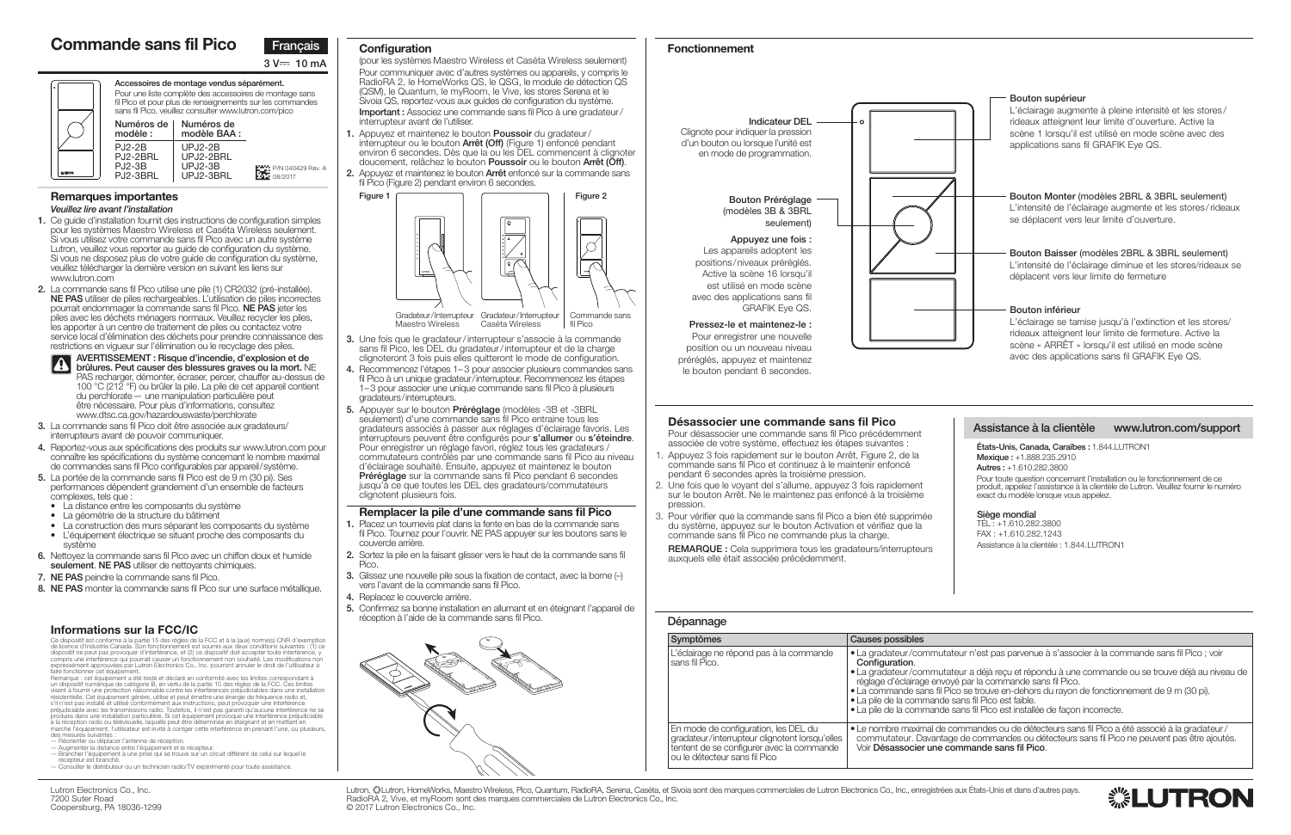# **Dépannage**

| <b>Symptômes</b>                                                                                                                                                     | Causes possibles                                                                                                                                                                   |
|----------------------------------------------------------------------------------------------------------------------------------------------------------------------|------------------------------------------------------------------------------------------------------------------------------------------------------------------------------------|
| L'éclairage ne répond pas à la commande<br>sans fil Pico.                                                                                                            | • La gradateur/commuta<br>Configuration.<br>• La gradateur/commuta<br>réglage d'éclairage envo<br>· La commande sans fil P<br>• La pile de la commande<br>• La pile de la commande |
| En mode de configuration, les DEL du<br>gradateur/interrupteur clignotent lorsqu'elles<br>tentent de se configurer avec la commande<br>ou le détecteur sans fil Pico | $\bullet$ Le nombre maximal de<br>commutateur. Davanta<br>Voir Désassocier une c                                                                                                   |

commandes ou de détecteurs sans fil Pico a été associé à la gradateur/ ae de commandes ou détecteurs sans fil Pico ne peuvent pas être ajoutés. Voir **Désassocier une commande sans fil Pico**.





### **Remarques importantes** *Veuillez lire avant l'installation*

- **1.** Ce guide d'installation fournit des instructions de configuration simples pour les systèmes Maestro Wireless et Caséta Wireless seulement. Si vous utilisez votre commande sans fil Pico avec un autre système Lutron, veuillez vous reporter au guide de configuration du système. Si vous ne disposez plus de votre guide de configuration du système, veuillez télécharger la dernière version en suivant les liens sur www.lutron.com
- **2.** La commande sans fil Pico utilise une pile (1) CR2032 (pré-installée). **NE PAS** utiliser de piles rechargeables. L'utilisation de piles incorrectes pourrait endommager la commande sans fil Pico. **NE PAS** jeter les piles avec les déchets ménagers normaux. Veuillez recycler les piles, les apporter à un centre de traitement de piles ou contactez votre service local d'élimination des déchets pour prendre connaissance des restrictions en vigueur sur l'élimination ou le recyclage des piles.



**AVERTISSEMENT : Risque d'incendie, d'explosion et de brûlures. Peut causer des blessures graves ou la mort.** NE PAS recharger, démonter, écraser, percer, chauffer au-dessus de 100 °C (212 °F) ou brûler la pile. La pile de cet appareil contient du perchlorate — une manipulation particulière peut être nécessaire. Pour plus d'informations, consultez www.dtsc.ca.gov/hazardouswaste/perchlorate

> Lutron, «▒Lutron, HomeWorks, Maestro Wireless, Pico, Quantum, RadioRA, Serena, Caséta, et Sivoia sont des marques commerciales de Lutron Electronics Co., Inc., enregistrées aux États-Unis et dans d'autres pays. RadioRA 2, Vive, et myRoom sont des marques commerciales de Lutron Electronics Co., Inc. © 2017 Lutron Electronics Co., Inc.

- **3.** La commande sans fil Pico doit être associée aux gradateurs/ interrupteurs avant de pouvoir communiquer.
- **4.** Reportez-vous aux spécifications des produits sur www.lutron.com pour connaître les spécifications du système concernant le nombre maximal de commandes sans fil Pico configurables par appareil / système.
- **5.** La portée de la commande sans fil Pico est de 9 m (30 pi). Ses performances dépendent grandement d'un ensemble de facteurs complexes, tels que :
	- La distance entre les composants du système
	- La géométrie de la structure du bâtiment
	- La construction des murs séparant les composants du système
- L'équipement électrique se situant proche des composants du système
- **6.** Nettoyez la commande sans fil Pico avec un chiffon doux et humide **seulement**. **NE PAS** utiliser de nettoyants chimiques.
- **7. NE PAS** peindre la commande sans fil Pico.
- **8. NE PAS** monter la commande sans fil Pico sur une surface métallique.

### **Désassocier une commande sans fil Pico**

 Pour désassocier une commande sans fil Pico précédemment associée de votre système, effectuez les étapes suivantes :

- 1. Appuyez 3 fois rapidement sur le bouton Arrêt, Figure 2, de la commande sans fil Pico et continuez à le maintenir enfoncé pendant 6 secondes après la troisième pression.
- 2. Une fois que le voyant del s'allume, appuyez 3 fois rapidement sur le bouton Arrêt. Ne le maintenez pas enfoncé à la troisième pression.
- 3. Pour vérifier que la commande sans fil Pico a bien été supprimée du système, appuyez sur le bouton Activation et vérifiez que la commande sans fil Pico ne commande plus la charge.

 Ce dispositif est conforme à la partie 15 des règles de la FCC et à la (aux) norme(s) CNR d'exemption de licence d'Industrie Canada. Son fonctionnement est soumis aux deux conditions suivantes : (1) ce<br>dispositif ne peut pas provoquer d'interférence, et (2) ce dispositif doit accepter toute interférence, y<br>compris une inte

**REMARQUE :** Cela supprimera tous les gradateurs/interrupteurs auxquels elle était associée précédemment.



# **Commande sans fil Pico**

faire fonctionner cet équipement.<br>Remarque : cet équipement a été testé et déclaré en conformité avec les limites correspondant à<br>un dispositif numérique de catégorie B, en vertu de la partie 15 des règles de la FCC. Ces l résidentielle. Cet équipement génère, utilise et peut émettre une énergie de fréquence radio et,<br>s'il n'est pas installé et utilisé conformément aux instructions, peut provoquer une interférence<br>préjudiciable avec les tran produira dans une installation particulière. Si cet équipement provoque une interférence préjudiciable à la réception radio ou télévisuelle, laquelle peut être déterminée en éteignant et en mettant en marche l'équipement, l'utilisateur est invité à corriger cette interférence en prenant l'une, ou plusieurs, des mesures suivantes :

**Accessoires de montage vendus séparément.** Pour une liste complète des accessoires de montage sans fil Pico et pour plus de renseignements sur les commandes





# **Fonctionnement**

# **Assistance à la clientèle www.lutron.com/support**

**États-Unis, Canada, Caraïbes :** 1.844.LUTRON1 **Mexique :** +1.888.235.2910 **Autres :** +1.610.282.3800Pour toute question concernant l'installation ou le fonctionnement de ce produit, appelez l'assistance à la clientèle de Lutron. Veuillez fournir le numéro exact du modèle lorsque vous appelez.

# **Configuration**

(pour les systèmes Maestro Wireless et Caséta Wireless seulement) Pour communiquer avec d'autres systèmes ou appareils, y compris le RadioRA 2, le HomeWorks QS, le QSG, le module de détection QS (QSM), le Quantum, le myRoom, le Vive, les stores Serena et le Sivoia QS, reportez-vous aux guides de configuration du système. **Important :** Associez une commande sans fil Pico à une gradateur / interrupteur avant de l'utiliser.

- **1.** Appuyez et maintenez le bouton **Poussoir** du gradateur / interrupteur ou le bouton **Arrêt (Off)** (Figure 1) enfoncé pendant environ 6 secondes. Dès que la ou les DEL commencent à clignoter doucement, relâchez le bouton **Poussoir** ou le bouton **Arrêt (Off)**.
- **2.** Appuyez et maintenez le bouton **Arrêt** enfoncé sur la commande sans fil Pico (Figure 2) pendant environ 6 secondes.

- **3.** Une fois que le gradateur / interrupteur s'associe à la commande sans fil Pico, les DEL du gradateur / interrupteur et de la charge clignoteront 3 fois puis elles quitteront le mode de configuration.
- **4.** Recommencez l'étapes 1– 3 pour associer plusieurs commandes sans fil Pico à un unique gradateur/interrupteur. Recommencez les étapes 1– 3 pour associer une unique commande sans fil Pico à plusieurs gradateurs / interrupteurs.
- **5.** Appuyer sur le bouton **Préréglage** (modèles -3B et -3BRL seulement) d'une commande sans fil Pico entraine tous les gradateurs associés à passer aux réglages d'éclairage favoris. Les interrupteurs peuvent être configurés pour **s'allumer** ou **s'éteindre**. Pour enregistrer un réglage favori, réglez tous les gradateurs / commutateurs contrôlés par une commande sans fil Pico au niveau d'éclairage souhaité. Ensuite, appuyez et maintenez le bouton **Préréglage** sur la commande sans fil Pico pendant 6 secondes jusqu'à ce que toutes les DEL des gradateurs/commutateurs clignotent plusieurs fois.

### **Remplacer la pile d'une commande sans fil Pico**

- **1.** Placez un tournevis plat dans la fente en bas de la commande sans fil Pico. Tournez pour l'ouvrir. NE PAS appuyer sur les boutons sans le couvercle arrière.
- **2.** Sortez la pile en la faisant glisser vers le haut de la commande sans fil Pico.
- **3.** Glissez une nouvelle pile sous la fixation de contact, avec la borne (-) vers l'avant de la commande sans fil Pico.
- **4.** Replacez le couvercle arrière.
- **5.** Confirmez sa bonne installation en allumant et en éteignant l'appareil de réception à l'aide de la commande sans fil Pico.

# **Informations sur la FCC/IC**

sans fil Pico, veuillez consulter www.lutron.com/pico **Numéros de Numéros de modèle :** PJ2-2B PJ2-2BRL PJ2-3B PJ2-3BRLP/N 040429 Rev. A 08/2017 **modèle BAA :** UPJ2-2B UPJ2-2BRL UPJ2-3BUPJ2-3BRL

- Réorienter ou déplacer l'antenne de réception.
- Augmenter la distance entre l'équipement et le récepteur. Brancher l'équipement à une prise qui se trouve sur un circuit différent de celui sur lequel le
- récepteur est branché. — Consulter le distributeur ou un technicien radio/TV expérimenté pour toute assistance.







**Indicateur DEL**Clignote pour indiquer la pression d'un bouton ou lorsque l'unité est en mode de programmation.

> **Bouton Préréglage**  (modèles 3B & 3BRL seulement)

#### **Appuyez une fois :**

Les appareils adoptent les positions / niveaux préréglés. Active la scène 16 lorsqu'il est utilisé en mode scène avec des applications sans fil GRAFIK Eye QS.

**Pressez-le et maintenez-le :**  Pour enregistrer une nouvelle position ou un nouveau niveau préréglés, appuyez et maintenez le bouton pendant 6 secondes.

> **Siège mondial** TÉL : +1.610.282.3800FAX : +1.610.282.1243 Assistance à la clientèle : 1.844.LUTRON1

ateur n'est pas parvenue à s'associer à la commande sans fil Pico ; voir

- ateur a déjà reçu et répondu à une commande ou se trouve déjà au niveau de ové par la commande sans fil Pico.
- $\frac{1}{2}$ ico se trouve en-dehors du rayon de fonctionnement de 9 m (30 pi).
- $e$  sans fil Pico est faible.
- sans fil Pico est installée de façon incorrecte.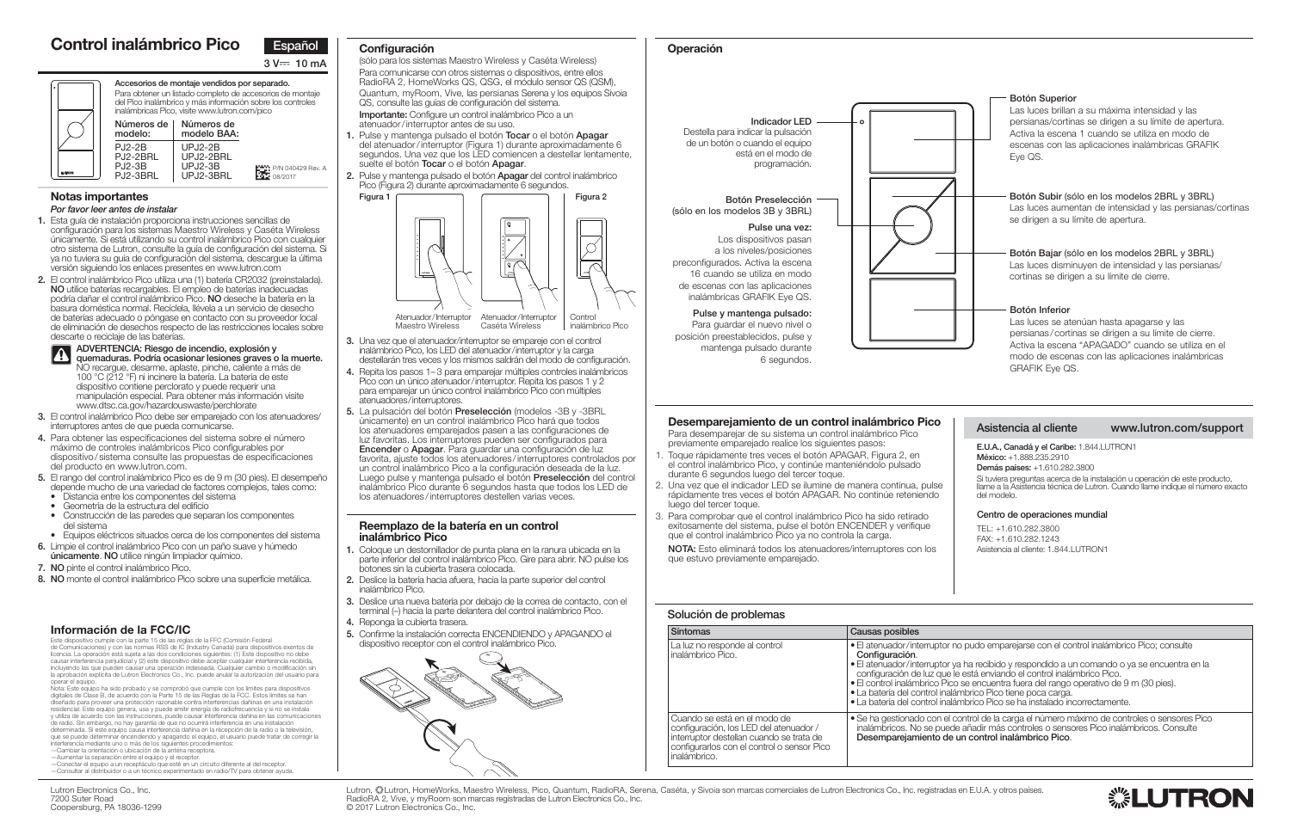### **Solución de problemas**

va ha recibido y respondido a un comando o ya se encuentra en la le está enviando el control inalámbrico Pico. co se encuentra fuera del rango operativo de 9 m (30 pies). Ilámbrico Pico tiene poca carga. • La batería del control inalámbrico Pico se ha instalado incorrectamente.

> l control de la carga el número máximo de controles o sensores Pico ede añadir más controles o sensores Pico inalámbricos. Consulte **Le un control inalámbrico Pico.**





| <b>Síntomas</b>                                                                                                                                                                  | Causas posibles                                                                                                                                                                                                |
|----------------------------------------------------------------------------------------------------------------------------------------------------------------------------------|----------------------------------------------------------------------------------------------------------------------------------------------------------------------------------------------------------------|
| La luz no responde al control<br>inalámbrico Pico.                                                                                                                               | • El atenuador/interruptor<br>Configuración.<br>$\bullet$ El atenuador/interruptor<br>configuración de luz que<br>• El control inalámbrico Pio<br>• La batería del control ina<br>• La batería del control ina |
| Cuando se está en el modo de<br>configuración, los LED del atenuador /<br>interruptor destellan cuando se trata de<br>configurarlos con el control o sensor Pico<br>inalámbrico. | • Se ha gestionado con el<br>inalámbricos. No se pue<br>Desemparejamiento de                                                                                                                                   |

# **Notas importantes**

#### *Por favor leer antes de instalar*

- **1.** Esta guía de instalación proporciona instrucciones sencillas de configuración para los sistemas Maestro Wireless y Caséta Wireless únicamente. Si está utilizando su control inalámbrico Pico con cualquier otro sistema de Lutron, consulte la guía de configuración del sistema. Si ya no tuviera su guía de configuración del sistema, descargue la última versión siguiendo los enlaces presentes en www.lutron.com
- **2.** El control inalámbrico Pico utiliza una (1) batería CR2032 (preinstalada). **NO** utilice baterías recargables. El empleo de baterías inadecuadas podría dañar el control inalámbrico Pico. **NO** deseche la batería en la basura doméstica normal. Recíclela, llévela a un servicio de desecho de baterías adecuado o póngase en contacto con su proveedor local de eliminación de desechos respecto de las restricciones locales sobre descarte o reciclaje de las baterías.

**ADVERTENCIA: Riesgo de incendio, explosión y quemaduras. Podría ocasionar lesiones graves o la muerte.**<br>**quemaduras. Podría ocasionar lesiones graves o la muerte.** NO recargue, desarme, aplaste, pinche, caliente a más de 100 °C (212 °F) ni incinere la batería. La batería de este dispositivo contiene perclorato y puede requerir una manipulación especial. Para obtener más información visite www.dtsc.ca.gov/hazardouswaste/perchlorate

> Lutron, ‱Lutron, HomeWorks, Maestro Wireless, Pico, Quantum, RadioRA, Serena, Caséta, y Sivoia son marcas comerciales de Lutron Electronics Co., Inc. registradas en E.U.A. y otros países. RadioRA 2, Vive, y myRoom son marcas registradas de Lutron Electronics Co., Inc. © 2017 Lutron Electronics Co., Inc.

(sólo para los sistemas Maestro Wireless y Caséta Wireless) Para comunicarse con otros sistemas o dispositivos, entre ellos RadioRA 2, HomeWorks QS, QSG, el módulo sensor QS (QSM), Quantum, myRoom, Vive, las persianas Serena y los equipos Sivoia QS, consulte las guías de configuración del sistema. **Importante:** Configure un control inalámbrico Pico a un

- **3.** El control inalámbrico Pico debe ser emparejado con los atenuadores/ interruptores antes de que pueda comunicarse.
- **4.** Para obtener las especificaciones del sistema sobre el número máximo de controles inalámbricos Pico configurables por dispositivo / sistema consulte las propuestas de especificaciones del producto en www.lutron.com.
- **5.** El rango del control inalámbrico Pico es de 9 m (30 pies). El desempeño
	- depende mucho de una variedad de factores complejos, tales como:
	- Distancia entre los componentes del sistema
	- Geometría de la estructura del edificio
	- Construcción de las paredes que separan los componentes del sistema
- Equipos eléctricos situados cerca de los componentes del sistema
- **6.** Limpie el control inalámbrico Pico con un paño suave y húmedo
- **únicamente**. **NO** utilice ningún limpiador químico.
- **7. NO** pinte el control inalámbrico Pico.
- **8. NO** monte el control inalámbrico Pico sobre una superficie metálica.

# **Desemparejamiento de un control inalámbrico Pico**

 Para desemparejar de su sistema un control inalámbrico Pico previamente emparejado realice los siguientes pasos:

- 1. Toque rápidamente tres veces el botón APAGAR, Figura 2, en el control inalámbrico Pico, y continúe manteniéndolo pulsado durante 6 segundos luego del tercer toque.
- 2. Una vez que el indicador LED se ilumine de manera continua, pulse rápidamente tres veces el botón APAGAR. No continúe reteniendo luego del tercer toque.
- 3. Para comprobar que el control inalámbrico Pico ha sido retirado exitosamente del sistema, pulse el botón ENCENDER y verifique que el control inalámbrico Pico ya no controla la carga.

**NOTA:** Esto eliminará todos los atenuadores/interruptores con los que estuvo previamente emparejado.

.<br>Este dispositivo cumple con la parte 15 de las reglas de la FFC (Comisión Federal<br>de Comunicaciones) y con las normas RSS de IC (Industry Canada) para dispositivos exentos de<br>licencia. La operación está sujeta a las dos causar interferencia perjudicial y (2) este dispositivo debe aceptar cualquier interferencia recibida, incluyendo las que pueden causar una operación indeseada. Cualquier cambio o modificación sin la aprobación explícita de Lutron Electronics Co., Inc. puede anular la autorización del usuario para







**Accesorios de montaje vendidos por separado.** Para obtener un listado completo de accesorios de montaje del Pico inalámbrico y más información sobre los controles inalámbricas Pico, visite www.lutron.com/pico

# **Operación**

# **Asistencia al cliente www.lutron.com/support**

**E.U.A., Canadá y el Caribe:** 1.844.LUTRON1 **México:** +1.888.235.2910 **Demás países:** +1.610.282.3800 Si tuviera preguntas acerca de la instalación u operación de este producto, llame a la Asistencia técnica de Lutron. Cuando llame indique el número exacto del modelo.

# **Configuración**

atenuador / interruptor antes de su uso.

- **1.** Pulse y mantenga pulsado el botón **Tocar** o el botón **Apagar** del atenuador / interruptor (Figura 1) durante aproximadamente 6 segundos. Una vez que los LED comiencen a destellar lentamente, suelte el botón **Tocar** o el botón **Apagar**.
- **2.** Pulse y mantenga pulsado el botón **Apagar** del control inalámbrico Pico (Figura 2) durante aproximadamente 6 segundos.

- **3.** Una vez que el atenuador/interruptor se empareje con el control inalámbrico Pico, los LED del atenuador / interruptor y la carga destellarán tres veces y los mismos saldrán del modo de configuración.
- **4.** Repita los pasos 1– 3 para emparejar múltiples controles inalámbricos Pico con un único atenuador / interruptor. Repita los pasos 1 y 2 para emparejar un único control inalámbrico Pico con múltiples atenuadores / interruptores.
- **5.** La pulsación del botón **Preselección** (modelos -3B y -3BRL únicamente) en un control inalámbrico Pico hará que todos los atenuadores emparejados pasen a las configuraciones de luz favoritas. Los interruptores pueden ser configurados para **Encender** o **Apagar**. Para guardar una configuración de luz favorita, ajuste todos los atenuadores / interruptores controlados por un control inalámbrico Pico a la configuración deseada de la luz. Luego pulse y mantenga pulsado el botón **Preselección** del control inalámbrico Pico durante 6 segundos hasta que todos los LED de los atenuadores / interruptores destellen varias veces.

#### **Reemplazo de la batería en un control inalámbrico Pico**

- **1.** Coloque un destornillador de punta plana en la ranura ubicada en la parte inferior del control inalámbrico Pico. Gire para abrir. NO pulse los botones sin la cubierta trasera colocada.
- **2.** Deslice la batería hacia afuera, hacia la parte superior del control inalámbrico Pico.
- **3.** Deslice una nueva batería por debajo de la correa de contacto, con el terminal (–) hacia la parte delantera del control inalámbrico Pico.
- **4.** Reponga la cubierta trasera.
- **5.** Confirme la instalación correcta ENCENDIENDO y APAGANDO el dispositivo receptor con el control inalámbrico Pico.

# **Información de la FCC/IC**

**Números de Números de modelo:** PJ2-2B PJ2-2BRL PJ2-3B PJ2-3BRLP/N 040429 Rev. A 08/2017 **modelo BAA:** UPJ2-2B UPJ2-2BRL UPJ2-3BUPJ2-3BRL

operar el equipo. Nota: Este equipo ha sido probado y se comprobó que cumple con los límites para dispositivos digitales de Clase B, de acuerdo con la Parte 15 de las Reglas de la FCC. Estos límites se han diseñado para proveer una protección razonable contra interferencias dañinas en una instalación<br>residencial. Este equipo genera, usa y puede emitir energía de radiofrecuencia y si no se instala y utiliza de acuerdo con las instrucciones, puede causar interferencia dañina en las comunicaciones de radio. Sin embargo, no hay garantía de que no ocurrirá interferencia en una instalación determinada. Si este equipo causa interferencia dañina en la recepción de la radio o la televisión, que se puede determinar encendiendo y apagando el equipo, el usuario puede tratar de corregir la interferencia mediante uno o más de los siguientes procedimientos:

- 
- —Cambiar la orientación o ubicación de la antena receptora. —Aumentar la separación entre el equipo y el receptor.
- Conectar el equipo a un receptáculo que esté en un circuito diferente al del receptor. Consultar al distribuidor o a un técnico experimentado en radio/TV para obtener ayuda.



inalámbrico Pico





**Indicador LED**Destella para indicar la pulsación de un botón o cuando el equipo está en el modo de programación.

#### **Botón Preselección** (sólo en los modelos 3B y 3BRL)

#### **Pulse una vez:**

Los dispositivos pasan a los niveles/posiciones preconfigurados. Activa la escena 16 cuando se utiliza en modo de escenas con las aplicaciones inalámbricas GRAFIK Eye QS.

**Pulse y mantenga pulsado:** Para guardar el nuevo nivel o

posición preestablecidos, pulse y mantenga pulsado durante 6 segundos.

### **Centro de operaciones mundial**

TEL: +1.610.282.3800FAX: +1.610.282.1243Asistencia al cliente: 1.844.LUTRON1

 $\cdot$ no pudo emparejarse con el control inalámbrico Pico; consulte